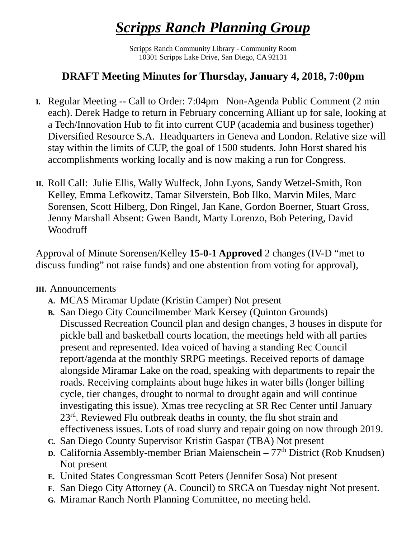## *Scripps Ranch Planning Group*

Scripps Ranch Community Library - Community Room 10301 Scripps Lake Drive, San Diego, CA 92131

## **DRAFT Meeting Minutes for Thursday, January 4, 2018, 7:00pm**

- **I.** Regular Meeting -- Call to Order: 7:04pm Non-Agenda Public Comment (2 min each). Derek Hadge to return in February concerning Alliant up for sale, looking at a Tech/Innovation Hub to fit into current CUP (academia and business together) Diversified Resource S.A. Headquarters in Geneva and London. Relative size will stay within the limits of CUP, the goal of 1500 students. John Horst shared his accomplishments working locally and is now making a run for Congress.
- **II.** Roll Call: Julie Ellis, Wally Wulfeck, John Lyons, Sandy Wetzel-Smith, Ron Kelley, Emma Lefkowitz, Tamar Silverstein, Bob Ilko, Marvin Miles, Marc Sorensen, Scott Hilberg, Don Ringel, Jan Kane, Gordon Boerner, Stuart Gross, Jenny Marshall Absent: Gwen Bandt, Marty Lorenzo, Bob Petering, David Woodruff

Approval of Minute Sorensen/Kelley **15-0-1 Approved** 2 changes (IV-D "met to discuss funding" not raise funds) and one abstention from voting for approval),

## **III.** Announcements

- **A.** MCAS Miramar Update (Kristin Camper) Not present
- **B.** San Diego City Councilmember Mark Kersey (Quinton Grounds) Discussed Recreation Council plan and design changes, 3 houses in dispute for pickle ball and basketball courts location, the meetings held with all parties present and represented. Idea voiced of having a standing Rec Council report/agenda at the monthly SRPG meetings. Received reports of damage alongside Miramar Lake on the road, speaking with departments to repair the roads. Receiving complaints about huge hikes in water bills (longer billing cycle, tier changes, drought to normal to drought again and will continue investigating this issue). Xmas tree recycling at SR Rec Center until January 23rd. Reviewed Flu outbreak deaths in county, the flu shot strain and effectiveness issues. Lots of road slurry and repair going on now through 2019.
- **C.** San Diego County Supervisor Kristin Gaspar (TBA) Not present
- **D.** California Assembly-member Brian Maienschein  $77<sup>th</sup>$  District (Rob Knudsen) Not present
- **E.** United States Congressman Scott Peters (Jennifer Sosa) Not present
- **F.** San Diego City Attorney (A. Council) to SRCA on Tuesday night Not present.
- **G.** Miramar Ranch North Planning Committee, no meeting held.